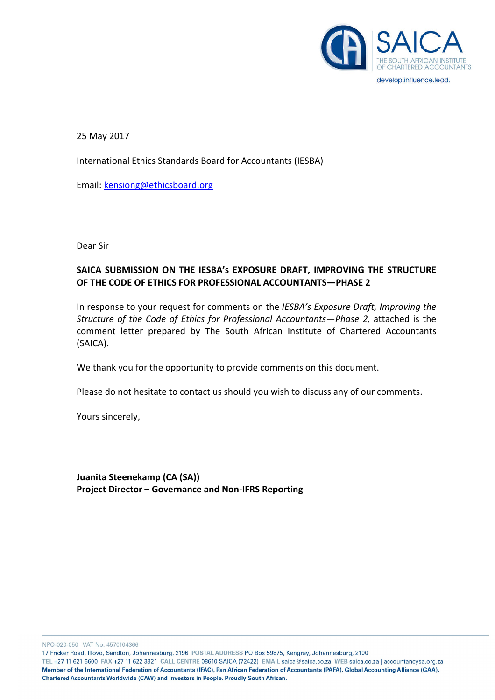

develop.influence.lead.

25 May 2017

International Ethics Standards Board for Accountants (IESBA)

Email: kensiong@ethicsboard.org

Dear Sir

# SAICA SUBMISSION ON THE IESBA's EXPOSURE DRAFT, IMPROVING THE STRUCTURE OF THE CODE OF ETHICS FOR PROFESSIONAL ACCOUNTANTS—PHASE 2

In response to your request for comments on the IESBA's Exposure Draft, Improving the Structure of the Code of Ethics for Professional Accountants—Phase 2, attached is the comment letter prepared by The South African Institute of Chartered Accountants (SAICA).

We thank you for the opportunity to provide comments on this document.

Please do not hesitate to contact us should you wish to discuss any of our comments.

Yours sincerely,

Juanita Steenekamp (CA (SA)) Project Director – Governance and Non-IFRS Reporting

NPO-020-050 VAT No. 4570104366

17 Fricker Road, Illovo, Sandton, Johannesburg, 2196 POSTAL ADDRESS PO Box 59875, Kengray, Johannesburg, 2100

TEL +27 11 621 6600 FAX +27 11 622 3321 CALL CENTRE 08610 SAICA (72422) EMAIL saica@saica.co.za WEB saica.co.za | accountancysa.org.za Member of the International Federation of Accountants (IFAC), Pan African Federation of Accountants (PAFA), Global Accounting Alliance (GAA), Chartered Accountants Worldwide (CAW) and Investors in People. Proudly South African.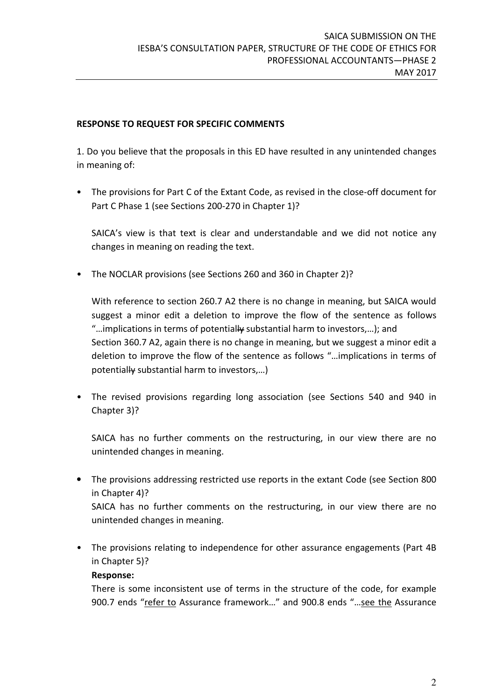### RESPONSE TO REQUEST FOR SPECIFIC COMMENTS

1. Do you believe that the proposals in this ED have resulted in any unintended changes in meaning of:

• The provisions for Part C of the Extant Code, as revised in the close-off document for Part C Phase 1 (see Sections 200-270 in Chapter 1)?

SAICA's view is that text is clear and understandable and we did not notice any changes in meaning on reading the text.

• The NOCLAR provisions (see Sections 260 and 360 in Chapter 2)?

With reference to section 260.7 A2 there is no change in meaning, but SAICA would suggest a minor edit a deletion to improve the flow of the sentence as follows "...implications in terms of potentially substantial harm to investors,...); and Section 360.7 A2, again there is no change in meaning, but we suggest a minor edit a deletion to improve the flow of the sentence as follows "…implications in terms of potentially substantial harm to investors,…)

• The revised provisions regarding long association (see Sections 540 and 940 in Chapter 3)?

SAICA has no further comments on the restructuring, in our view there are no unintended changes in meaning.

• The provisions addressing restricted use reports in the extant Code (see Section 800 in Chapter 4)?

SAICA has no further comments on the restructuring, in our view there are no unintended changes in meaning.

The provisions relating to independence for other assurance engagements (Part 4B) in Chapter 5)?

## Response:

There is some inconsistent use of terms in the structure of the code, for example 900.7 ends "refer to Assurance framework..." and 900.8 ends "...see the Assurance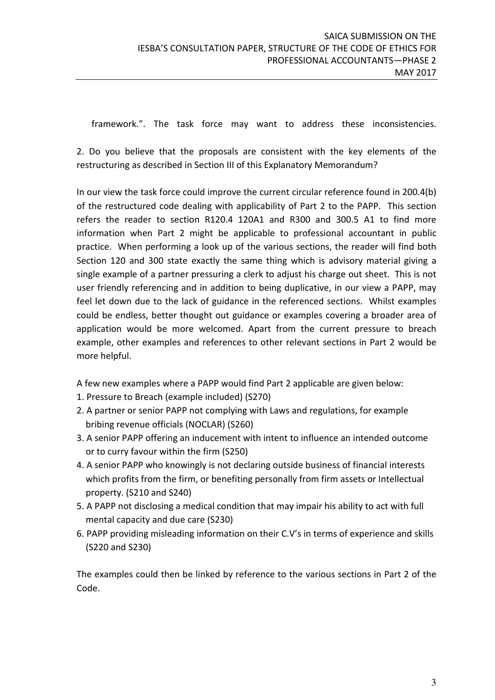framework.". The task force may want to address these inconsistencies.

2. Do you believe that the proposals are consistent with the key elements of the restructuring as described in Section III of this Explanatory Memorandum?

In our view the task force could improve the current circular reference found in 200.4(b) of the restructured code dealing with applicability of Part 2 to the PAPP. This section refers the reader to section R120.4 120A1 and R300 and 300.5 A1 to find more information when Part 2 might be applicable to professional accountant in public practice. When performing a look up of the various sections, the reader will find both Section 120 and 300 state exactly the same thing which is advisory material giving a single example of a partner pressuring a clerk to adjust his charge out sheet. This is not user friendly referencing and in addition to being duplicative, in our view a PAPP, may feel let down due to the lack of guidance in the referenced sections. Whilst examples could be endless, better thought out guidance or examples covering a broader area of application would be more welcomed. Apart from the current pressure to breach example, other examples and references to other relevant sections in Part 2 would be more helpful.

A few new examples where a PAPP would find Part 2 applicable are given below:

- 1. Pressure to Breach (example included) (S270)
- 2. A partner or senior PAPP not complying with Laws and regulations, for example bribing revenue officials (NOCLAR) (S260)
- 3. A senior PAPP offering an inducement with intent to influence an intended outcome or to curry favour within the firm (S250)
- 4. A senior PAPP who knowingly is not declaring outside business of financial interests which profits from the firm, or benefiting personally from firm assets or Intellectual property. (S210 and S240)
- 5. A PAPP not disclosing a medical condition that may impair his ability to act with full mental capacity and due care (S230)
- 6. PAPP providing misleading information on their C.V's in terms of experience and skills (S220 and S230)

The examples could then be linked by reference to the various sections in Part 2 of the Code.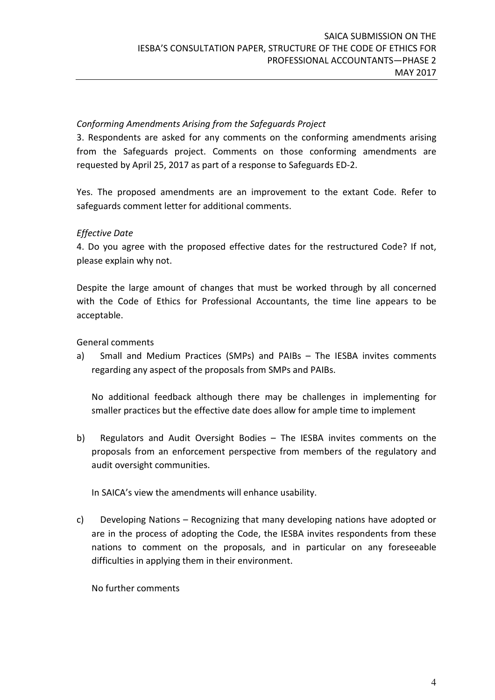## Conforming Amendments Arising from the Safeguards Project

3. Respondents are asked for any comments on the conforming amendments arising from the Safeguards project. Comments on those conforming amendments are requested by April 25, 2017 as part of a response to Safeguards ED-2.

Yes. The proposed amendments are an improvement to the extant Code. Refer to safeguards comment letter for additional comments.

### Effective Date

4. Do you agree with the proposed effective dates for the restructured Code? If not, please explain why not.

Despite the large amount of changes that must be worked through by all concerned with the Code of Ethics for Professional Accountants, the time line appears to be acceptable.

General comments

a) Small and Medium Practices (SMPs) and PAIBs – The IESBA invites comments regarding any aspect of the proposals from SMPs and PAIBs.

No additional feedback although there may be challenges in implementing for smaller practices but the effective date does allow for ample time to implement

b) Regulators and Audit Oversight Bodies – The IESBA invites comments on the proposals from an enforcement perspective from members of the regulatory and audit oversight communities.

In SAICA's view the amendments will enhance usability.

c) Developing Nations – Recognizing that many developing nations have adopted or are in the process of adopting the Code, the IESBA invites respondents from these nations to comment on the proposals, and in particular on any foreseeable difficulties in applying them in their environment.

No further comments